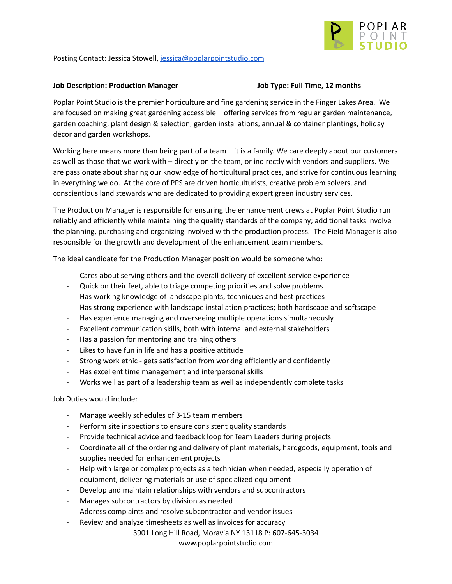

Posting Contact: Jessica Stowell, [jessica@poplarpointstudio.com](mailto:jessica@poplarpointstudio.com)

## **Job Description: Production Manager Job Type: Full Time, 12 months**

Poplar Point Studio is the premier horticulture and fine gardening service in the Finger Lakes Area. We are focused on making great gardening accessible – offering services from regular garden maintenance, garden coaching, plant design & selection, garden installations, annual & container plantings, holiday décor and garden workshops.

Working here means more than being part of a team – it is a family. We care deeply about our customers as well as those that we work with – directly on the team, or indirectly with vendors and suppliers. We are passionate about sharing our knowledge of horticultural practices, and strive for continuous learning in everything we do. At the core of PPS are driven horticulturists, creative problem solvers, and conscientious land stewards who are dedicated to providing expert green industry services.

The Production Manager is responsible for ensuring the enhancement crews at Poplar Point Studio run reliably and efficiently while maintaining the quality standards of the company; additional tasks involve the planning, purchasing and organizing involved with the production process. The Field Manager is also responsible for the growth and development of the enhancement team members.

The ideal candidate for the Production Manager position would be someone who:

- Cares about serving others and the overall delivery of excellent service experience
- Quick on their feet, able to triage competing priorities and solve problems
- Has working knowledge of landscape plants, techniques and best practices
- Has strong experience with landscape installation practices; both hardscape and softscape
- Has experience managing and overseeing multiple operations simultaneously
- Excellent communication skills, both with internal and external stakeholders
- Has a passion for mentoring and training others
- Likes to have fun in life and has a positive attitude
- Strong work ethic gets satisfaction from working efficiently and confidently
- Has excellent time management and interpersonal skills
- Works well as part of a leadership team as well as independently complete tasks

Job Duties would include:

- Manage weekly schedules of 3-15 team members
- Perform site inspections to ensure consistent quality standards
- Provide technical advice and feedback loop for Team Leaders during projects
- Coordinate all of the ordering and delivery of plant materials, hardgoods, equipment, tools and supplies needed for enhancement projects
- Help with large or complex projects as a technician when needed, especially operation of equipment, delivering materials or use of specialized equipment
- Develop and maintain relationships with vendors and subcontractors
- Manages subcontractors by division as needed
- Address complaints and resolve subcontractor and vendor issues
- Review and analyze timesheets as well as invoices for accuracy

3901 Long Hill Road, Moravia NY 13118 P: 607-645-3034

www.poplarpointstudio.com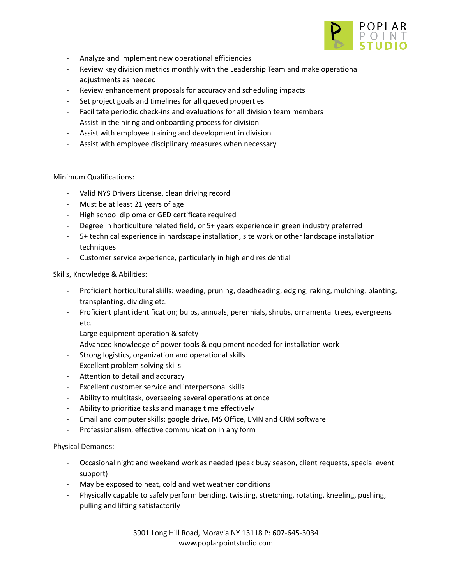

- Analyze and implement new operational efficiencies
- Review key division metrics monthly with the Leadership Team and make operational adjustments as needed
- Review enhancement proposals for accuracy and scheduling impacts
- Set project goals and timelines for all queued properties
- Facilitate periodic check-ins and evaluations for all division team members
- Assist in the hiring and onboarding process for division
- Assist with employee training and development in division
- Assist with employee disciplinary measures when necessary

## Minimum Qualifications:

- Valid NYS Drivers License, clean driving record
- Must be at least 21 years of age
- High school diploma or GED certificate required
- Degree in horticulture related field, or 5+ years experience in green industry preferred
- 5+ technical experience in hardscape installation, site work or other landscape installation techniques
- Customer service experience, particularly in high end residential

Skills, Knowledge & Abilities:

- Proficient horticultural skills: weeding, pruning, deadheading, edging, raking, mulching, planting, transplanting, dividing etc.
- Proficient plant identification; bulbs, annuals, perennials, shrubs, ornamental trees, evergreens etc.
- Large equipment operation & safety
- Advanced knowledge of power tools & equipment needed for installation work
- Strong logistics, organization and operational skills
- Excellent problem solving skills
- Attention to detail and accuracy
- Excellent customer service and interpersonal skills
- Ability to multitask, overseeing several operations at once
- Ability to prioritize tasks and manage time effectively
- Email and computer skills: google drive, MS Office, LMN and CRM software
- Professionalism, effective communication in any form

Physical Demands:

- Occasional night and weekend work as needed (peak busy season, client requests, special event support)
- May be exposed to heat, cold and wet weather conditions
- Physically capable to safely perform bending, twisting, stretching, rotating, kneeling, pushing, pulling and lifting satisfactorily